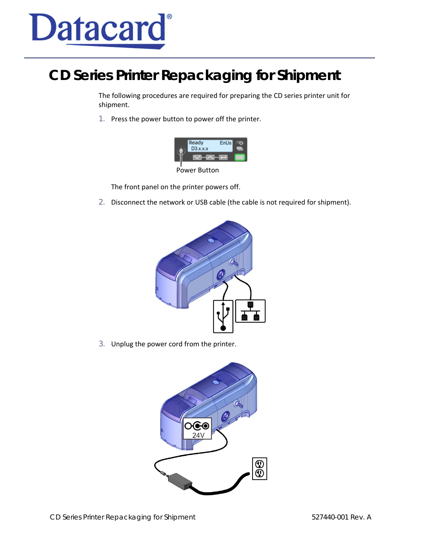

## **CD Series Printer Repackaging for Shipment**

The following procedures are required for preparing the CD series printer unit for shipment.

1. Press the power button to power off the printer.



The front panel on the printer powers off.

2. Disconnect the network or USB cable (the cable is not required for shipment).



3. Unplug the power cord from the printer.

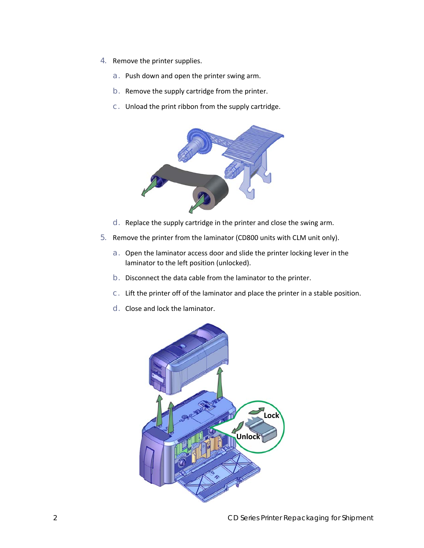- 4. Remove the printer supplies.
	- a. Push down and open the printer swing arm.
	- b. Remove the supply cartridge from the printer.
	- c. Unload the print ribbon from the supply cartridge.



- d. Replace the supply cartridge in the printer and close the swing arm.
- 5. Remove the printer from the laminator (CD800 units with CLM unit only).
	- a. Open the laminator access door and slide the printer locking lever in the laminator to the left position (unlocked).
	- b. Disconnect the data cable from the laminator to the printer.
	- c. Lift the printer off of the laminator and place the printer in a stable position.
	- d. Close and lock the laminator.

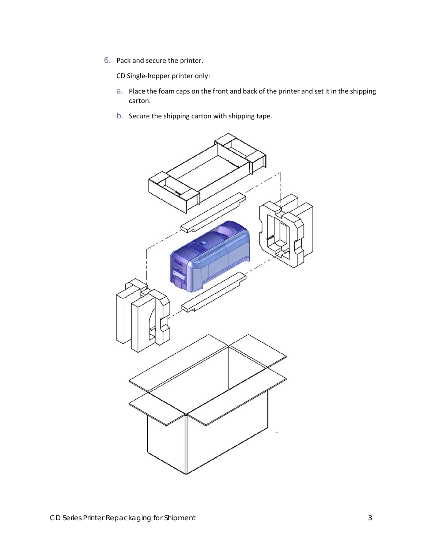6. Pack and secure the printer.

CD Single-hopper printer only:

- a. Place the foam caps on the front and back of the printer and set it in the shipping carton.
- b. Secure the shipping carton with shipping tape.

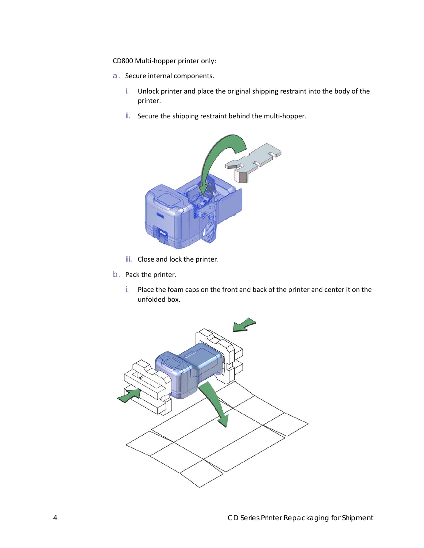CD800 Multi-hopper printer only:

- a. Secure internal components.
	- i. Unlock printer and place the original shipping restraint into the body of the printer.
	- ii. Secure the shipping restraint behind the multi-hopper.



- iii. Close and lock the printer.
- b. Pack the printer.
	- i. Place the foam caps on the front and back of the printer and center it on the unfolded box.